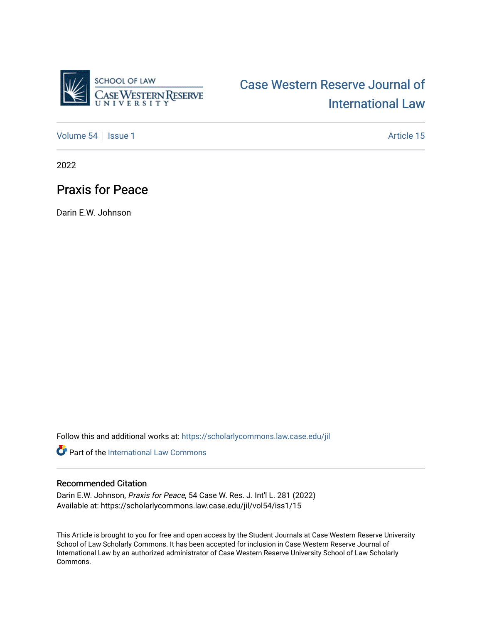

# [Case Western Reserve Journal of](https://scholarlycommons.law.case.edu/jil)  [International Law](https://scholarlycommons.law.case.edu/jil)

[Volume 54](https://scholarlycommons.law.case.edu/jil/vol54) | [Issue 1](https://scholarlycommons.law.case.edu/jil/vol54/iss1) Article 15

2022

# Praxis for Peace

Darin E.W. Johnson

Follow this and additional works at: [https://scholarlycommons.law.case.edu/jil](https://scholarlycommons.law.case.edu/jil?utm_source=scholarlycommons.law.case.edu%2Fjil%2Fvol54%2Fiss1%2F15&utm_medium=PDF&utm_campaign=PDFCoverPages) 

**P** Part of the International Law Commons

#### Recommended Citation

Darin E.W. Johnson, Praxis for Peace, 54 Case W. Res. J. Int'l L. 281 (2022) Available at: https://scholarlycommons.law.case.edu/jil/vol54/iss1/15

This Article is brought to you for free and open access by the Student Journals at Case Western Reserve University School of Law Scholarly Commons. It has been accepted for inclusion in Case Western Reserve Journal of International Law by an authorized administrator of Case Western Reserve University School of Law Scholarly Commons.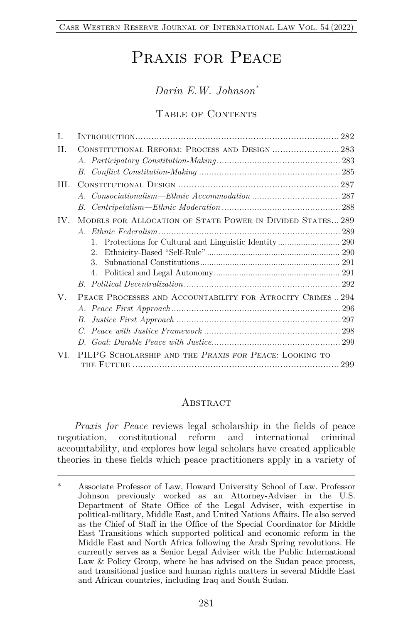# Praxis for Peace

### *Darin E.W. Johnson\**

#### TABLE OF CONTENTS

| T.       |                                                             |  |
|----------|-------------------------------------------------------------|--|
| H.       | CONSTITUTIONAL REFORM: PROCESS AND DESIGN  283              |  |
|          |                                                             |  |
| HL.      |                                                             |  |
|          |                                                             |  |
|          |                                                             |  |
| $IV_{-}$ | MODELS FOR ALLOCATION OF STATE POWER IN DIVIDED STATES289   |  |
|          |                                                             |  |
|          | $1_{-}$                                                     |  |
|          | 2.5                                                         |  |
|          | 3.                                                          |  |
|          | 4.                                                          |  |
|          |                                                             |  |
| V.       | PEACE PROCESSES AND ACCOUNTABILITY FOR ATROCITY CRIMES  294 |  |
|          |                                                             |  |
|          | $B_{-}$                                                     |  |
|          |                                                             |  |
|          |                                                             |  |
| VL.      | PILPG SCHOLARSHIP AND THE PRAXIS FOR PEACE: LOOKING TO      |  |

#### **ABSTRACT**

*Praxis for Peace* reviews legal scholarship in the fields of peace negotiation, constitutional reform and international criminal accountability, and explores how legal scholars have created applicable theories in these fields which peace practitioners apply in a variety of

<sup>\*</sup> Associate Professor of Law, Howard University School of Law. Professor Johnson previously worked as an Attorney-Adviser in the U.S. Department of State Office of the Legal Adviser, with expertise in political-military, Middle East, and United Nations Affairs. He also served as the Chief of Staff in the Office of the Special Coordinator for Middle East Transitions which supported political and economic reform in the Middle East and North Africa following the Arab Spring revolutions. He currently serves as a Senior Legal Adviser with the Public International Law & Policy Group, where he has advised on the Sudan peace process, and transitional justice and human rights matters in several Middle East and African countries, including Iraq and South Sudan.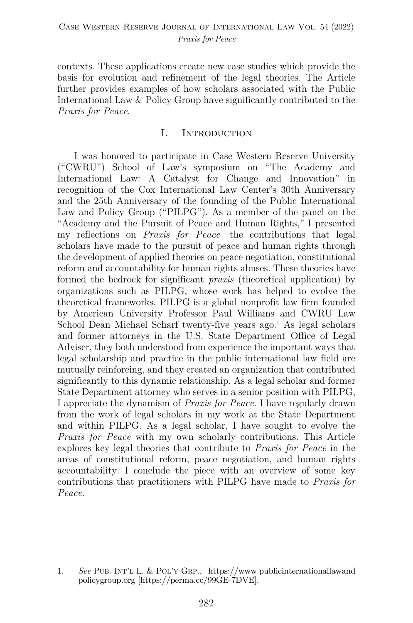contexts. These applications create new case studies which provide the basis for evolution and refinement of the legal theories. The Article further provides examples of how scholars associated with the Public International Law & Policy Group have significantly contributed to the *Praxis for Peace*.

#### I. Introduction

I was honored to participate in Case Western Reserve University ("CWRU") School of Law's symposium on "The Academy and International Law: A Catalyst for Change and Innovation" in recognition of the Cox International Law Center's 30th Anniversary and the 25th Anniversary of the founding of the Public International Law and Policy Group ("PILPG"). As a member of the panel on the "Academy and the Pursuit of Peace and Human Rights," I presented my reflections on *Praxis for Peace*—the contributions that legal scholars have made to the pursuit of peace and human rights through the development of applied theories on peace negotiation, constitutional reform and accountability for human rights abuses. These theories have formed the bedrock for significant *praxis* (theoretical application) by organizations such as PILPG, whose work has helped to evolve the theoretical frameworks. PILPG is a global nonprofit law firm founded by American University Professor Paul Williams and CWRU Law School Dean Michael Scharf twenty-five years ago.<sup>1</sup> As legal scholars and former attorneys in the U.S. State Department Office of Legal Adviser, they both understood from experience the important ways that legal scholarship and practice in the public international law field are mutually reinforcing, and they created an organization that contributed significantly to this dynamic relationship. As a legal scholar and former State Department attorney who serves in a senior position with PILPG, I appreciate the dynamism of *Praxis for Peace*. I have regularly drawn from the work of legal scholars in my work at the State Department and within PILPG. As a legal scholar, I have sought to evolve the *Praxis for Peace* with my own scholarly contributions. This Article explores key legal theories that contribute to *Praxis for Peace* in the areas of constitutional reform, peace negotiation, and human rights accountability. I conclude the piece with an overview of some key contributions that practitioners with PILPG have made to *Praxis for Peace*.

<sup>1.</sup> *See* PUB. INT'L L. & POL'Y GRP., https://www.publicinternationallawand policygroup.org [https://perma.cc/99GE-7DVE].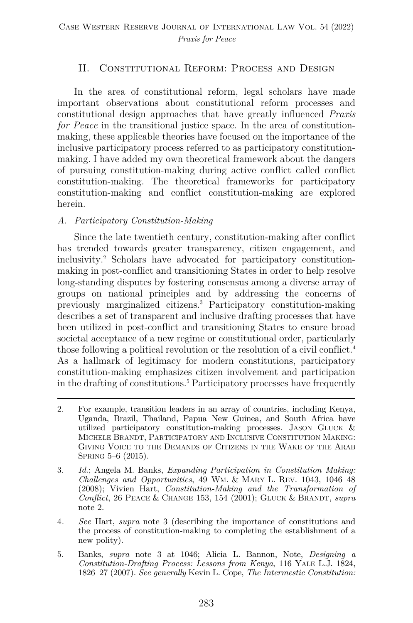#### II. Constitutional Reform: Process and Design

In the area of constitutional reform, legal scholars have made important observations about constitutional reform processes and constitutional design approaches that have greatly influenced *Praxis for Peace* in the transitional justice space. In the area of constitutionmaking, these applicable theories have focused on the importance of the inclusive participatory process referred to as participatory constitutionmaking. I have added my own theoretical framework about the dangers of pursuing constitution-making during active conflict called conflict constitution-making. The theoretical frameworks for participatory constitution-making and conflict constitution-making are explored herein.

#### *A. Participatory Constitution-Making*

Since the late twentieth century, constitution-making after conflict has trended towards greater transparency, citizen engagement, and inclusivity.2 Scholars have advocated for participatory constitutionmaking in post-conflict and transitioning States in order to help resolve long-standing disputes by fostering consensus among a diverse array of groups on national principles and by addressing the concerns of previously marginalized citizens.3 Participatory constitution-making describes a set of transparent and inclusive drafting processes that have been utilized in post-conflict and transitioning States to ensure broad societal acceptance of a new regime or constitutional order, particularly those following a political revolution or the resolution of a civil conflict.4 As a hallmark of legitimacy for modern constitutions, participatory constitution-making emphasizes citizen involvement and participation in the drafting of constitutions.5 Participatory processes have frequently

<sup>2.</sup> For example, transition leaders in an array of countries, including Kenya, Uganda, Brazil, Thailand, Papua New Guinea, and South Africa have utilized participatory constitution-making processes. JASON GLUCK & MICHELE BRANDT, PARTICIPATORY AND INCLUSIVE CONSTITUTION MAKING: GIVING VOICE TO THE DEMANDS OF CITIZENS IN THE WAKE OF THE ARAB SPRING 5–6 (2015).

<sup>3.</sup> *Id.*; Angela M. Banks, *Expanding Participation in Constitution Making: Challenges and Opportunities*, 49 WM. & MARY L. REV. 1043, 1046–48 (2008); Vivien Hart, *Constitution-Making and the Transformation of Conflict*, 26 PEACE & CHANGE 153, 154 (2001); GLUCK & BRANDT, *supra* note 2.

<sup>4</sup>*. See* Hart, *supra* note 3 (describing the importance of constitutions and the process of constitution-making to completing the establishment of a new polity).

<sup>5.</sup> Banks, *supra* note 3 at 1046; Alicia L. Bannon, Note, *Designing a Constitution-Drafting Process: Lessons from Kenya*, 116 YALE L.J. 1824, 1826–27 (2007). *See generally* Kevin L. Cope, *The Intermestic Constitution:*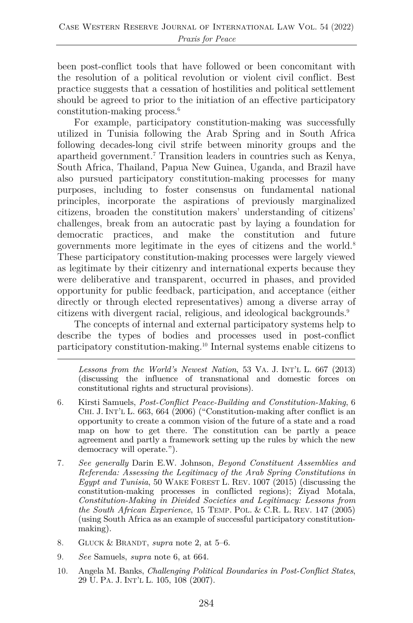been post-conflict tools that have followed or been concomitant with the resolution of a political revolution or violent civil conflict. Best practice suggests that a cessation of hostilities and political settlement should be agreed to prior to the initiation of an effective participatory constitution-making process.6

For example, participatory constitution-making was successfully utilized in Tunisia following the Arab Spring and in South Africa following decades-long civil strife between minority groups and the apartheid government.7 Transition leaders in countries such as Kenya, South Africa, Thailand, Papua New Guinea, Uganda, and Brazil have also pursued participatory constitution-making processes for many purposes, including to foster consensus on fundamental national principles, incorporate the aspirations of previously marginalized citizens, broaden the constitution makers' understanding of citizens' challenges, break from an autocratic past by laying a foundation for democratic practices, and make the constitution and future governments more legitimate in the eyes of citizens and the world.8 These participatory constitution-making processes were largely viewed as legitimate by their citizenry and international experts because they were deliberative and transparent, occurred in phases, and provided opportunity for public feedback, participation, and acceptance (either directly or through elected representatives) among a diverse array of citizens with divergent racial, religious, and ideological backgrounds.9

The concepts of internal and external participatory systems help to describe the types of bodies and processes used in post-conflict participatory constitution-making.10 Internal systems enable citizens to

*Lessons from the World's Newest Nation*, 53 VA. J. INT'L L. 667 (2013) (discussing the influence of transnational and domestic forces on constitutional rights and structural provisions).

- 6. Kirsti Samuels, *Post-Conflict Peace-Building and Constitution-Making*, 6 CHI. J. INT'L L. 663, 664 (2006) ("Constitution-making after conflict is an opportunity to create a common vision of the future of a state and a road map on how to get there. The constitution can be partly a peace agreement and partly a framework setting up the rules by which the new democracy will operate.").
- 7*. See generally* Darin E.W. Johnson, *Beyond Constituent Assemblies and Referenda: Assessing the Legitimacy of the Arab Spring Constitutions in Egypt and Tunisia*, 50 WAKE FOREST L. REV. 1007 (2015) (discussing the constitution-making processes in conflicted regions); Ziyad Motala, *Constitution-Making in Divided Societies and Legitimacy: Lessons from the South African Experience*, 15 TEMP. POL. & C.R. L. REV. 147 (2005) (using South Africa as an example of successful participatory constitutionmaking).
- 8. GLUCK & BRANDT, *supra* note 2, at 5–6.
- 9. *See* Samuels, *supra* note 6, at 664.
- 10. Angela M. Banks, *Challenging Political Boundaries in Post-Conflict States*, 29 U. PA. J. INT'L L. 105, 108 (2007).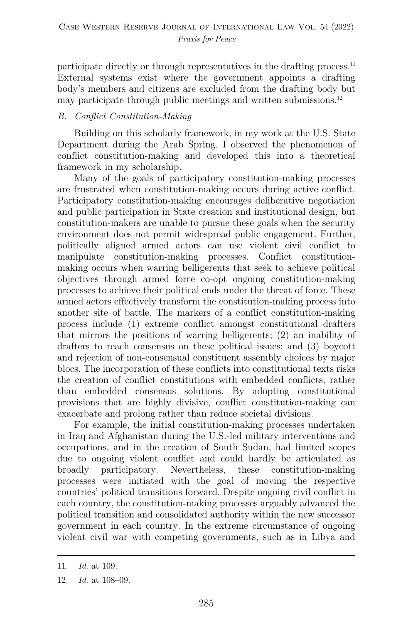participate directly or through representatives in the drafting process.<sup>11</sup> External systems exist where the government appoints a drafting body's members and citizens are excluded from the drafting body but may participate through public meetings and written submissions.<sup>12</sup>

#### *B. Conflict Constitution-Making*

Building on this scholarly framework, in my work at the U.S. State Department during the Arab Spring, I observed the phenomenon of conflict constitution-making and developed this into a theoretical framework in my scholarship.

Many of the goals of participatory constitution-making processes are frustrated when constitution-making occurs during active conflict. Participatory constitution-making encourages deliberative negotiation and public participation in State creation and institutional design, but constitution-makers are unable to pursue these goals when the security environment does not permit widespread public engagement. Further, politically aligned armed actors can use violent civil conflict to manipulate constitution-making processes. Conflict constitutionmaking occurs when warring belligerents that seek to achieve political objectives through armed force co-opt ongoing constitution-making processes to achieve their political ends under the threat of force. These armed actors effectively transform the constitution-making process into another site of battle. The markers of a conflict constitution-making process include (1) extreme conflict amongst constitutional drafters that mirrors the positions of warring belligerents; (2) an inability of drafters to reach consensus on these political issues; and (3) boycott and rejection of non-consensual constituent assembly choices by major blocs. The incorporation of these conflicts into constitutional texts risks the creation of conflict constitutions with embedded conflicts, rather than embedded consensus solutions. By adopting constitutional provisions that are highly divisive, conflict constitution-making can exacerbate and prolong rather than reduce societal divisions.

For example, the initial constitution-making processes undertaken in Iraq and Afghanistan during the U.S.-led military interventions and occupations, and in the creation of South Sudan, had limited scopes due to ongoing violent conflict and could hardly be articulated as broadly participatory. Nevertheless, these constitution-making processes were initiated with the goal of moving the respective countries' political transitions forward. Despite ongoing civil conflict in each country, the constitution-making processes arguably advanced the political transition and consolidated authority within the new successor government in each country. In the extreme circumstance of ongoing violent civil war with competing governments, such as in Libya and

<sup>11.</sup> *Id.* at 109.

<sup>12.</sup> *Id.* at 108–09.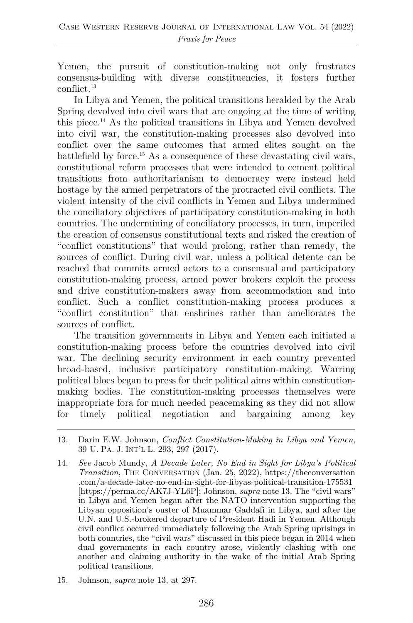Yemen, the pursuit of constitution-making not only frustrates consensus-building with diverse constituencies, it fosters further conflict.13

In Libya and Yemen, the political transitions heralded by the Arab Spring devolved into civil wars that are ongoing at the time of writing this piece.14 As the political transitions in Libya and Yemen devolved into civil war, the constitution-making processes also devolved into conflict over the same outcomes that armed elites sought on the battlefield by force.15 As a consequence of these devastating civil wars, constitutional reform processes that were intended to cement political transitions from authoritarianism to democracy were instead held hostage by the armed perpetrators of the protracted civil conflicts. The violent intensity of the civil conflicts in Yemen and Libya undermined the conciliatory objectives of participatory constitution-making in both countries. The undermining of conciliatory processes, in turn, imperiled the creation of consensus constitutional texts and risked the creation of "conflict constitutions" that would prolong, rather than remedy, the sources of conflict. During civil war, unless a political detente can be reached that commits armed actors to a consensual and participatory constitution-making process, armed power brokers exploit the process and drive constitution-makers away from accommodation and into conflict. Such a conflict constitution-making process produces a "conflict constitution" that enshrines rather than ameliorates the sources of conflict.

The transition governments in Libya and Yemen each initiated a constitution-making process before the countries devolved into civil war. The declining security environment in each country prevented broad-based, inclusive participatory constitution-making. Warring political blocs began to press for their political aims within constitutionmaking bodies. The constitution-making processes themselves were inappropriate fora for much needed peacemaking as they did not allow for timely political negotiation and bargaining among key

15. Johnson, *supra* note 13, at 297.

<sup>13.</sup> Darin E.W. Johnson, *Conflict Constitution-Making in Libya and Yemen*, 39 U. PA. J. INT'L L. 293, 297 (2017).

<sup>14.</sup> *See* Jacob Mundy, *A Decade Later, No End in Sight for Libya's Political Transition*, THE CONVERSATION (Jan. 25, 2022), https://theconversation .com/a-decade-later-no-end-in-sight-for-libyas-political-transition-175531 [https://perma.cc/AK7J-YL6P]; Johnson, *supra* note 13. The "civil wars" in Libya and Yemen began after the NATO intervention supporting the Libyan opposition's ouster of Muammar Gaddafi in Libya, and after the U.N. and U.S.-brokered departure of President Hadi in Yemen. Although civil conflict occurred immediately following the Arab Spring uprisings in both countries, the "civil wars" discussed in this piece began in 2014 when dual governments in each country arose, violently clashing with one another and claiming authority in the wake of the initial Arab Spring political transitions.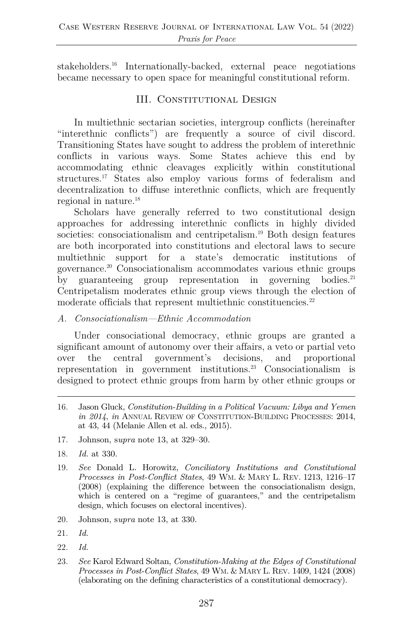stakeholders.16 Internationally-backed, external peace negotiations became necessary to open space for meaningful constitutional reform.

#### III. CONSTITUTIONAL DESIGN

In multiethnic sectarian societies, intergroup conflicts (hereinafter "interethnic conflicts") are frequently a source of civil discord. Transitioning States have sought to address the problem of interethnic conflicts in various ways. Some States achieve this end by accommodating ethnic cleavages explicitly within constitutional structures.17 States also employ various forms of federalism and decentralization to diffuse interethnic conflicts, which are frequently regional in nature.18

Scholars have generally referred to two constitutional design approaches for addressing interethnic conflicts in highly divided societies: consociationalism and centripetalism.<sup>19</sup> Both design features are both incorporated into constitutions and electoral laws to secure multiethnic support for a state's democratic institutions of governance.20 Consociationalism accommodates various ethnic groups by guaranteeing group representation in governing bodies.<sup>21</sup> Centripetalism moderates ethnic group views through the election of moderate officials that represent multiethnic constituencies.<sup>22</sup>

#### *A. Consociationalism—Ethnic Accommodation*

Under consociational democracy, ethnic groups are granted a significant amount of autonomy over their affairs, a veto or partial veto over the central government's decisions, and proportional representation in government institutions.23 Consociationalism is designed to protect ethnic groups from harm by other ethnic groups or

- 17. Johnson, s*upra* note 13, at 329–30.
- 18. *Id.* at 330.
- 19. *See* Donald L. Horowitz, *Conciliatory Institutions and Constitutional Processes in Post-Conflict States*, 49 WM. & MARY L. REV. 1213, 1216–17 (2008) (explaining the difference between the consociationalism design, which is centered on a "regime of guarantees," and the centripetalism design, which focuses on electoral incentives).
- 20. Johnson, s*upra* note 13, at 330.

- 22. *Id.*
- 23. *See* Karol Edward Soltan, *Constitution-Making at the Edges of Constitutional Processes in Post-Conflict States*, 49 WM. & MARY L. REV. 1409, 1424 (2008) (elaborating on the defining characteristics of a constitutional democracy).

<sup>16.</sup> Jason Gluck, *Constitution-Building in a Political Vacuum: Libya and Yemen in 2014*, *in* ANNUAL REVIEW OF CONSTITUTION-BUILDING PROCESSES: 2014, at 43, 44 (Melanie Allen et al. eds., 2015).

<sup>21.</sup> *Id.*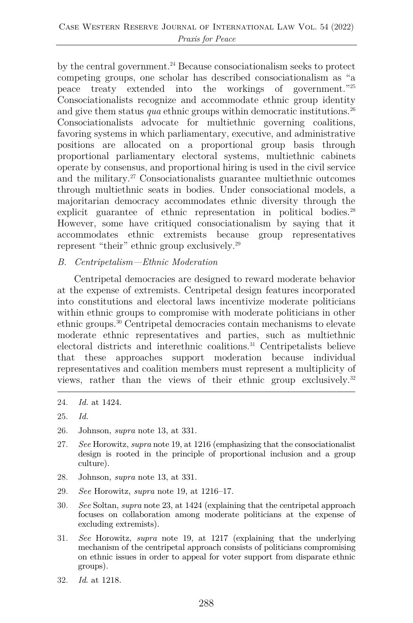by the central government.<sup>24</sup> Because consociationalism seeks to protect competing groups, one scholar has described consociationalism as "a peace treaty extended into the workings of government."25 Consociationalists recognize and accommodate ethnic group identity and give them status *qua* ethnic groups within democratic institutions.<sup>26</sup> Consociationalists advocate for multiethnic governing coalitions, favoring systems in which parliamentary, executive, and administrative positions are allocated on a proportional group basis through proportional parliamentary electoral systems, multiethnic cabinets operate by consensus, and proportional hiring is used in the civil service and the military.27 Consociationalists guarantee multiethnic outcomes through multiethnic seats in bodies. Under consociational models, a majoritarian democracy accommodates ethnic diversity through the explicit guarantee of ethnic representation in political bodies.<sup>28</sup> However, some have critiqued consociationalism by saying that it accommodates ethnic extremists because group representatives represent "their" ethnic group exclusively.29

#### *B. Centripetalism—Ethnic Moderation*

Centripetal democracies are designed to reward moderate behavior at the expense of extremists. Centripetal design features incorporated into constitutions and electoral laws incentivize moderate politicians within ethnic groups to compromise with moderate politicians in other ethnic groups.30 Centripetal democracies contain mechanisms to elevate moderate ethnic representatives and parties, such as multiethnic electoral districts and interethnic coalitions.31 Centripetalists believe that these approaches support moderation because individual representatives and coalition members must represent a multiplicity of views, rather than the views of their ethnic group exclusively.32

- 26. Johnson, *supra* note 13, at 331.
- 27. *See* Horowitz, *supra* note 19, at 1216 (emphasizing that the consociationalist design is rooted in the principle of proportional inclusion and a group culture).
- 28. Johnson, *supra* note 13, at 331.
- 29. *See* Horowitz, *supra* note 19, at 1216–17.
- 30. *See* Soltan, *supra* note 23, at 1424 (explaining that the centripetal approach focuses on collaboration among moderate politicians at the expense of excluding extremists).
- 31. *See* Horowitz, *supra* note 19, at 1217 (explaining that the underlying mechanism of the centripetal approach consists of politicians compromising on ethnic issues in order to appeal for voter support from disparate ethnic groups).
- 32. *Id*. at 1218.

<sup>24.</sup> *Id.* at 1424.

<sup>25.</sup> *Id.*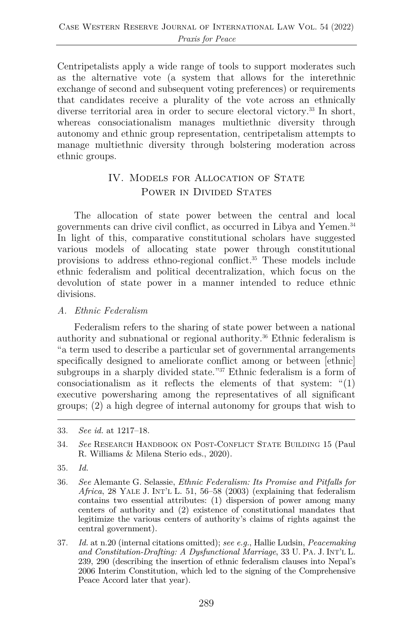Centripetalists apply a wide range of tools to support moderates such as the alternative vote (a system that allows for the interethnic exchange of second and subsequent voting preferences) or requirements that candidates receive a plurality of the vote across an ethnically diverse territorial area in order to secure electoral victory.<sup>33</sup> In short, whereas consociationalism manages multiethnic diversity through autonomy and ethnic group representation, centripetalism attempts to manage multiethnic diversity through bolstering moderation across ethnic groups.

# IV. MODELS FOR ALLOCATION OF STATE POWER IN DIVIDED STATES

The allocation of state power between the central and local governments can drive civil conflict, as occurred in Libya and Yemen.34 In light of this, comparative constitutional scholars have suggested various models of allocating state power through constitutional provisions to address ethno-regional conflict.35 These models include ethnic federalism and political decentralization, which focus on the devolution of state power in a manner intended to reduce ethnic divisions.

*A. Ethnic Federalism*

Federalism refers to the sharing of state power between a national authority and subnational or regional authority.36 Ethnic federalism is "a term used to describe a particular set of governmental arrangements specifically designed to ameliorate conflict among or between [ethnic] subgroups in a sharply divided state."<sup>37</sup> Ethnic federalism is a form of consociationalism as it reflects the elements of that system:  $\binom{n}{1}$ executive powersharing among the representatives of all significant groups; (2) a high degree of internal autonomy for groups that wish to

<sup>33.</sup> *See id.* at 1217–18.

<sup>34.</sup> *See* RESEARCH HANDBOOK ON POST-CONFLICT STATE BUILDING 15 (Paul R. Williams & Milena Sterio eds., 2020).

<sup>35.</sup> *Id.*

<sup>36.</sup> *See* Alemante G. Selassie, *Ethnic Federalism: Its Promise and Pitfalls for Africa*, 28 YALE J. INT'L L. 51, 56–58 (2003) (explaining that federalism contains two essential attributes: (1) dispersion of power among many centers of authority and (2) existence of constitutional mandates that legitimize the various centers of authority's claims of rights against the central government).

<sup>37.</sup> *Id.* at n.20 (internal citations omitted); *see e.g.*, Hallie Ludsin, *Peacemaking and Constitution-Drafting: A Dysfunctional Marriage*, 33 U. PA. J. INT'L L. 239, 290 (describing the insertion of ethnic federalism clauses into Nepal's 2006 Interim Constitution, which led to the signing of the Comprehensive Peace Accord later that year).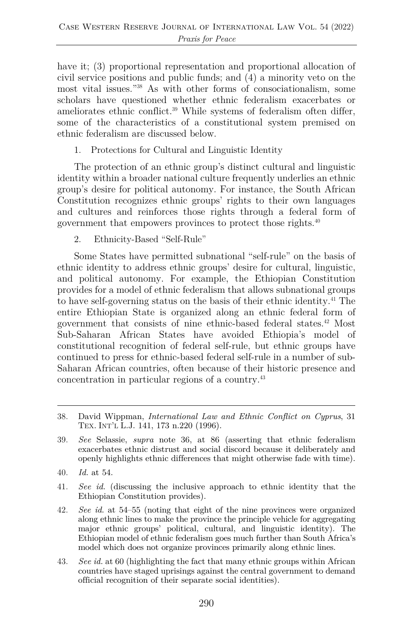have it; (3) proportional representation and proportional allocation of civil service positions and public funds; and (4) a minority veto on the most vital issues."38 As with other forms of consociationalism, some scholars have questioned whether ethnic federalism exacerbates or ameliorates ethnic conflict.39 While systems of federalism often differ, some of the characteristics of a constitutional system premised on ethnic federalism are discussed below.

1. Protections for Cultural and Linguistic Identity

The protection of an ethnic group's distinct cultural and linguistic identity within a broader national culture frequently underlies an ethnic group's desire for political autonomy. For instance, the South African Constitution recognizes ethnic groups' rights to their own languages and cultures and reinforces those rights through a federal form of government that empowers provinces to protect those rights.40

2. Ethnicity-Based "Self-Rule"

Some States have permitted subnational "self-rule" on the basis of ethnic identity to address ethnic groups' desire for cultural, linguistic, and political autonomy. For example, the Ethiopian Constitution provides for a model of ethnic federalism that allows subnational groups to have self-governing status on the basis of their ethnic identity.41 The entire Ethiopian State is organized along an ethnic federal form of government that consists of nine ethnic-based federal states.42 Most Sub-Saharan African States have avoided Ethiopia's model of constitutional recognition of federal self-rule, but ethnic groups have continued to press for ethnic-based federal self-rule in a number of sub-Saharan African countries, often because of their historic presence and concentration in particular regions of a country.43

- 40. *Id.* at 54.
- 41. *See id.* (discussing the inclusive approach to ethnic identity that the Ethiopian Constitution provides).
- 42. *See id.* at 54–55 (noting that eight of the nine provinces were organized along ethnic lines to make the province the principle vehicle for aggregating major ethnic groups' political, cultural, and linguistic identity). The Ethiopian model of ethnic federalism goes much further than South Africa's model which does not organize provinces primarily along ethnic lines.
- 43. *See id.* at 60 (highlighting the fact that many ethnic groups within African countries have staged uprisings against the central government to demand official recognition of their separate social identities).

<sup>38.</sup> David Wippman, *International Law and Ethnic Conflict on Cyprus*, 31 TEX. INT'L L.J. 141, 173 n.220 (1996).

<sup>39.</sup> *See* Selassie, *supra* note 36, at 86 (asserting that ethnic federalism exacerbates ethnic distrust and social discord because it deliberately and openly highlights ethnic differences that might otherwise fade with time).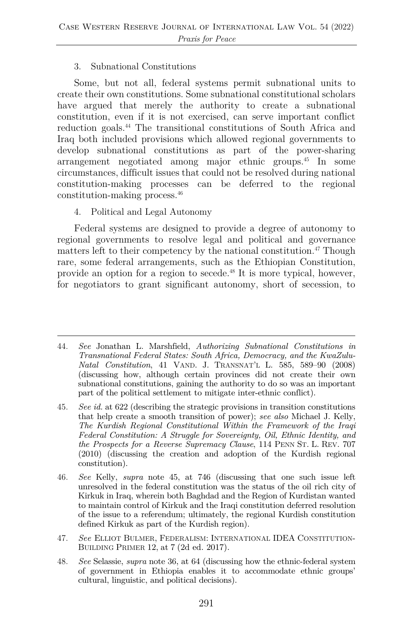#### 3. Subnational Constitutions

Some, but not all, federal systems permit subnational units to create their own constitutions. Some subnational constitutional scholars have argued that merely the authority to create a subnational constitution, even if it is not exercised, can serve important conflict reduction goals.44 The transitional constitutions of South Africa and Iraq both included provisions which allowed regional governments to develop subnational constitutions as part of the power-sharing arrangement negotiated among major ethnic groups.45 In some circumstances, difficult issues that could not be resolved during national constitution-making processes can be deferred to the regional constitution-making process.46

4. Political and Legal Autonomy

Federal systems are designed to provide a degree of autonomy to regional governments to resolve legal and political and governance matters left to their competency by the national constitution.<sup>47</sup> Though rare, some federal arrangements, such as the Ethiopian Constitution, provide an option for a region to secede.48 It is more typical, however, for negotiators to grant significant autonomy, short of secession, to

- 47. *See* ELLIOT BULMER, FEDERALISM: INTERNATIONAL IDEA CONSTITUTION-BUILDING PRIMER 12, at 7 (2d ed. 2017).
- 48. *See* Selassie, *supra* note 36, at 64 (discussing how the ethnic-federal system of government in Ethiopia enables it to accommodate ethnic groups' cultural, linguistic, and political decisions).

<sup>44.</sup> *See* Jonathan L. Marshfield, *Authorizing Subnational Constitutions in Transnational Federal States: South Africa, Democracy, and the KwaZulu-Natal Constitution*, 41 VAND. J. TRANSNAT'L L. 585, 589–90 (2008) (discussing how, although certain provinces did not create their own subnational constitutions, gaining the authority to do so was an important part of the political settlement to mitigate inter-ethnic conflict).

<sup>45.</sup> *See id.* at 622 (describing the strategic provisions in transition constitutions that help create a smooth transition of power); *see also* Michael J. Kelly, *The Kurdish Regional Constitutional Within the Framework of the Iraqi Federal Constitution: A Struggle for Sovereignty, Oil, Ethnic Identity, and the Prospects for a Reverse Supremacy Clause*, 114 PENN ST. L. REV. 707 (2010) (discussing the creation and adoption of the Kurdish regional constitution).

<sup>46.</sup> *See* Kelly, *supra* note 45, at 746 (discussing that one such issue left unresolved in the federal constitution was the status of the oil rich city of Kirkuk in Iraq, wherein both Baghdad and the Region of Kurdistan wanted to maintain control of Kirkuk and the Iraqi constitution deferred resolution of the issue to a referendum; ultimately, the regional Kurdish constitution defined Kirkuk as part of the Kurdish region).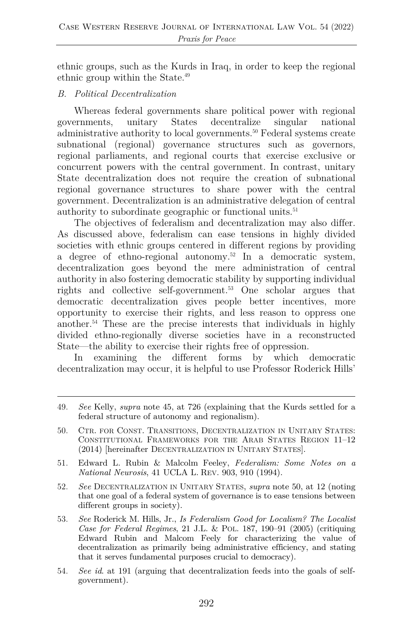ethnic groups, such as the Kurds in Iraq, in order to keep the regional ethnic group within the State.49

#### *B. Political Decentralization*

Whereas federal governments share political power with regional governments, unitary States decentralize singular national administrative authority to local governments.50 Federal systems create subnational (regional) governance structures such as governors, regional parliaments, and regional courts that exercise exclusive or concurrent powers with the central government. In contrast, unitary State decentralization does not require the creation of subnational regional governance structures to share power with the central government. Decentralization is an administrative delegation of central authority to subordinate geographic or functional units.51

The objectives of federalism and decentralization may also differ. As discussed above, federalism can ease tensions in highly divided societies with ethnic groups centered in different regions by providing a degree of ethno-regional autonomy.52 In a democratic system, decentralization goes beyond the mere administration of central authority in also fostering democratic stability by supporting individual rights and collective self-government.53 One scholar argues that democratic decentralization gives people better incentives, more opportunity to exercise their rights, and less reason to oppress one another.54 These are the precise interests that individuals in highly divided ethno-regionally diverse societies have in a reconstructed State—the ability to exercise their rights free of oppression.

In examining the different forms by which democratic decentralization may occur, it is helpful to use Professor Roderick Hills'

- 51. Edward L. Rubin & Malcolm Feeley, *Federalism: Some Notes on a National Neurosis*, 41 UCLA L. REV. 903, 910 (1994).
- 52. *See* DECENTRALIZATION IN UNITARY STATES, *supra* note 50, at 12 (noting that one goal of a federal system of governance is to ease tensions between different groups in society).
- 53. *See* Roderick M. Hills, Jr., *Is Federalism Good for Localism? The Localist Case for Federal Regimes*, 21 J.L. & POL. 187, 190–91 (2005) (critiquing Edward Rubin and Malcom Feely for characterizing the value of decentralization as primarily being administrative efficiency, and stating that it serves fundamental purposes crucial to democracy).
- 54. *See id*. at 191 (arguing that decentralization feeds into the goals of selfgovernment).

<sup>49.</sup> *See* Kelly, *supra* note 45, at 726 (explaining that the Kurds settled for a federal structure of autonomy and regionalism).

<sup>50.</sup> CTR. FOR CONST. TRANSITIONS, DECENTRALIZATION IN UNITARY STATES: CONSTITUTIONAL FRAMEWORKS FOR THE ARAB STATES REGION 11–12 (2014) [hereinafter DECENTRALIZATION IN UNITARY STATES].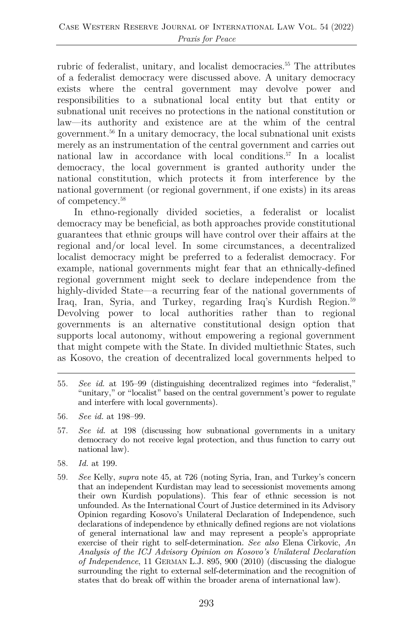rubric of federalist, unitary, and localist democracies.<sup>55</sup> The attributes of a federalist democracy were discussed above. A unitary democracy exists where the central government may devolve power and responsibilities to a subnational local entity but that entity or subnational unit receives no protections in the national constitution or law—its authority and existence are at the whim of the central government.56 In a unitary democracy, the local subnational unit exists merely as an instrumentation of the central government and carries out national law in accordance with local conditions.57 In a localist democracy, the local government is granted authority under the national constitution, which protects it from interference by the national government (or regional government, if one exists) in its areas of competency.58

In ethno-regionally divided societies, a federalist or localist democracy may be beneficial, as both approaches provide constitutional guarantees that ethnic groups will have control over their affairs at the regional and/or local level. In some circumstances, a decentralized localist democracy might be preferred to a federalist democracy. For example, national governments might fear that an ethnically-defined regional government might seek to declare independence from the highly-divided State—a recurring fear of the national governments of Iraq, Iran, Syria, and Turkey, regarding Iraq's Kurdish Region.<sup>59</sup> Devolving power to local authorities rather than to regional governments is an alternative constitutional design option that supports local autonomy, without empowering a regional government that might compete with the State. In divided multiethnic States, such as Kosovo, the creation of decentralized local governments helped to

- 55. *See id.* at 195–99 (distinguishing decentralized regimes into "federalist," "unitary," or "localist" based on the central government's power to regulate and interfere with local governments).
- 56. *See id.* at 198–99.
- 57. *See id.* at 198 (discussing how subnational governments in a unitary democracy do not receive legal protection, and thus function to carry out national law).
- 58. *Id.* at 199.
- 59. *See* Kelly, *supra* note 45, at 726 (noting Syria, Iran, and Turkey's concern that an independent Kurdistan may lead to secessionist movements among their own Kurdish populations). This fear of ethnic secession is not unfounded. As the International Court of Justice determined in its Advisory Opinion regarding Kosovo's Unilateral Declaration of Independence, such declarations of independence by ethnically defined regions are not violations of general international law and may represent a people's appropriate exercise of their right to self-determination. *See also* Elena Cirkovic, *An Analysis of the ICJ Advisory Opinion on Kosovo's Unilateral Declaration of Independence*, 11 GERMAN L.J. 895, 900 (2010) (discussing the dialogue surrounding the right to external self-determination and the recognition of states that do break off within the broader arena of international law).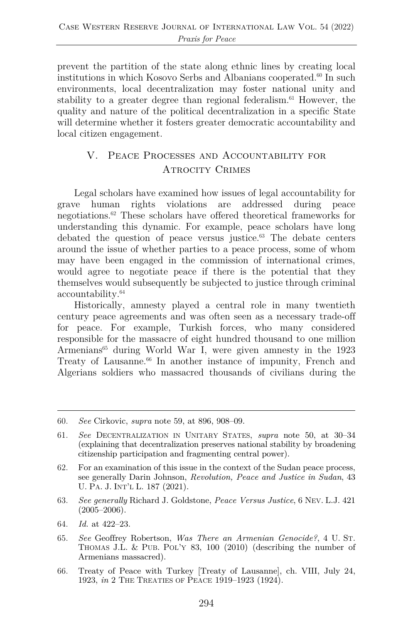prevent the partition of the state along ethnic lines by creating local institutions in which Kosovo Serbs and Albanians cooperated.<sup>60</sup> In such environments, local decentralization may foster national unity and stability to a greater degree than regional federalism. $61$  However, the quality and nature of the political decentralization in a specific State will determine whether it fosters greater democratic accountability and local citizen engagement.

## V. Peace Processes and Accountability for ATROCITY CRIMES

Legal scholars have examined how issues of legal accountability for grave human rights violations are addressed during peace negotiations.62 These scholars have offered theoretical frameworks for understanding this dynamic. For example, peace scholars have long debated the question of peace versus justice.63 The debate centers around the issue of whether parties to a peace process, some of whom may have been engaged in the commission of international crimes, would agree to negotiate peace if there is the potential that they themselves would subsequently be subjected to justice through criminal accountability.64

Historically, amnesty played a central role in many twentieth century peace agreements and was often seen as a necessary trade-off for peace. For example, Turkish forces, who many considered responsible for the massacre of eight hundred thousand to one million Armenians<sup>65</sup> during World War I, were given amnesty in the 1923 Treaty of Lausanne.<sup>66</sup> In another instance of impunity, French and Algerians soldiers who massacred thousands of civilians during the

- 63. *See generally* Richard J. Goldstone, *Peace Versus Justice*, 6 NEV. L.J. 421  $(2005-2006)$ .
- 64. *Id.* at 422–23.
- 65. *See* Geoffrey Robertson, *Was There an Armenian Genocide?*, 4 U. ST. THOMAS J.L. & PUB. POL'Y 83, 100 (2010) (describing the number of Armenians massacred).
- 66. Treaty of Peace with Turkey [Treaty of Lausanne], ch. VIII, July 24, 1923, *in* 2 THE TREATIES OF PEACE 1919–1923 (1924).

<sup>60.</sup> *See* Cirkovic, *supra* note 59, at 896, 908–09.

<sup>61.</sup> *See* DECENTRALIZATION IN UNITARY STATES, *supra* note 50, at 30–34 (explaining that decentralization preserves national stability by broadening citizenship participation and fragmenting central power).

<sup>62.</sup> For an examination of this issue in the context of the Sudan peace process, see generally Darin Johnson, *Revolution, Peace and Justice in Sudan*, 43 U. PA. J. INT'L L. 187 (2021).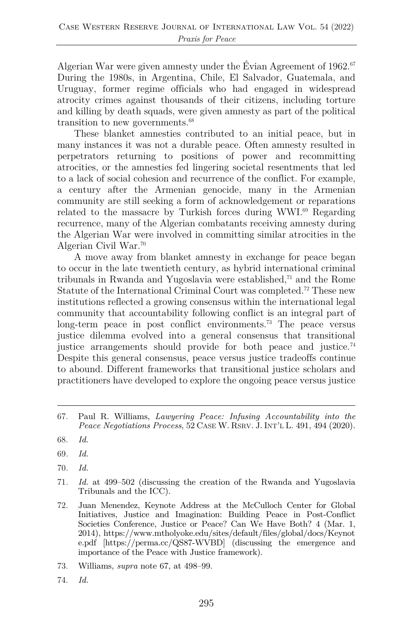Algerian War were given amnesty under the Évian Agreement of  $1962$ .<sup>67</sup> During the 1980s, in Argentina, Chile, El Salvador, Guatemala, and Uruguay, former regime officials who had engaged in widespread atrocity crimes against thousands of their citizens, including torture and killing by death squads, were given amnesty as part of the political transition to new governments.<sup>68</sup>

These blanket amnesties contributed to an initial peace, but in many instances it was not a durable peace. Often amnesty resulted in perpetrators returning to positions of power and recommitting atrocities, or the amnesties fed lingering societal resentments that led to a lack of social cohesion and recurrence of the conflict. For example, a century after the Armenian genocide, many in the Armenian community are still seeking a form of acknowledgement or reparations related to the massacre by Turkish forces during WWI.<sup>69</sup> Regarding recurrence, many of the Algerian combatants receiving amnesty during the Algerian War were involved in committing similar atrocities in the Algerian Civil War.70

A move away from blanket amnesty in exchange for peace began to occur in the late twentieth century, as hybrid international criminal tribunals in Rwanda and Yugoslavia were established, $71$  and the Rome Statute of the International Criminal Court was completed.<sup>72</sup> These new institutions reflected a growing consensus within the international legal community that accountability following conflict is an integral part of long-term peace in post conflict environments.<sup>73</sup> The peace versus justice dilemma evolved into a general consensus that transitional justice arrangements should provide for both peace and justice.<sup>74</sup> Despite this general consensus, peace versus justice tradeoffs continue to abound. Different frameworks that transitional justice scholars and practitioners have developed to explore the ongoing peace versus justice

- 69*. Id.*
- 70*. Id.*
- 71*. Id.* at 499–502 (discussing the creation of the Rwanda and Yugoslavia Tribunals and the ICC).
- 72. Juan Menendez, Keynote Address at the McCulloch Center for Global Initiatives, Justice and Imagination: Building Peace in Post-Conflict Societies Conference, Justice or Peace? Can We Have Both? 4 (Mar. 1, 2014), https://www.mtholyoke.edu/sites/default/files/global/docs/Keynot e.pdf [https://perma.cc/QS87-WVBD] (discussing the emergence and importance of the Peace with Justice framework).
- 73. Williams, *supra* note 67, at 498–99.
- 74. *Id.*

<sup>67.</sup> Paul R. Williams, *Lawyering Peace: Infusing Accountability into the Peace Negotiations Process*, 52 CASE W. RSRV. J. INT'L L. 491, 494 (2020).

<sup>68.</sup> *Id.*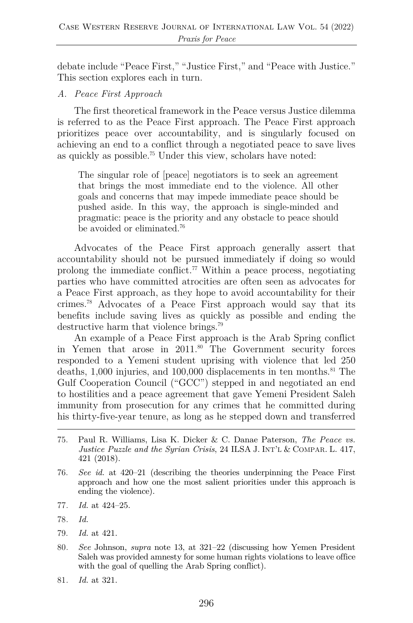debate include "Peace First," "Justice First," and "Peace with Justice." This section explores each in turn.

*A. Peace First Approach*

The first theoretical framework in the Peace versus Justice dilemma is referred to as the Peace First approach. The Peace First approach prioritizes peace over accountability, and is singularly focused on achieving an end to a conflict through a negotiated peace to save lives as quickly as possible.75 Under this view, scholars have noted:

The singular role of [peace] negotiators is to seek an agreement that brings the most immediate end to the violence. All other goals and concerns that may impede immediate peace should be pushed aside. In this way, the approach is single-minded and pragmatic: peace is the priority and any obstacle to peace should be avoided or eliminated.76

Advocates of the Peace First approach generally assert that accountability should not be pursued immediately if doing so would prolong the immediate conflict.<sup>77</sup> Within a peace process, negotiating parties who have committed atrocities are often seen as advocates for a Peace First approach, as they hope to avoid accountability for their crimes.78 Advocates of a Peace First approach would say that its benefits include saving lives as quickly as possible and ending the destructive harm that violence brings.79

An example of a Peace First approach is the Arab Spring conflict in Yemen that arose in 2011.80 The Government security forces responded to a Yemeni student uprising with violence that led 250 deaths, 1,000 injuries, and 100,000 displacements in ten months.<sup>81</sup> The Gulf Cooperation Council ("GCC") stepped in and negotiated an end to hostilities and a peace agreement that gave Yemeni President Saleh immunity from prosecution for any crimes that he committed during his thirty-five-year tenure, as long as he stepped down and transferred

- 75. Paul R. Williams, Lisa K. Dicker & C. Danae Paterson, *The Peace vs. Justice Puzzle and the Syrian Crisis*, 24 ILSA J. INT'L & COMPAR. L. 417, 421 (2018).
- 76. *See id.* at 420–21 (describing the theories underpinning the Peace First approach and how one the most salient priorities under this approach is ending the violence).
- 77*. Id.* at 424–25.
- 78*. Id.*
- 79. *Id.* at 421.
- 80*. See* Johnson, *supra* note 13, at 321–22 (discussing how Yemen President Saleh was provided amnesty for some human rights violations to leave office with the goal of quelling the Arab Spring conflict).
- 81*. Id.* at 321.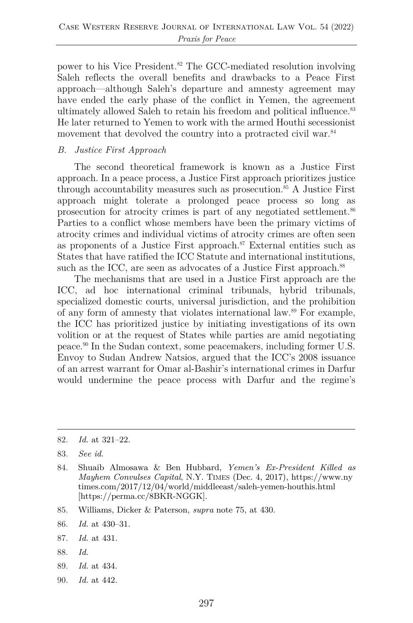power to his Vice President.<sup>82</sup> The GCC-mediated resolution involving Saleh reflects the overall benefits and drawbacks to a Peace First approach—although Saleh's departure and amnesty agreement may have ended the early phase of the conflict in Yemen, the agreement ultimately allowed Saleh to retain his freedom and political influence.<sup>83</sup> He later returned to Yemen to work with the armed Houthi secessionist movement that devolved the country into a protracted civil war.<sup>84</sup>

#### *B. Justice First Approach*

The second theoretical framework is known as a Justice First approach. In a peace process, a Justice First approach prioritizes justice through accountability measures such as prosecution.85 A Justice First approach might tolerate a prolonged peace process so long as prosecution for atrocity crimes is part of any negotiated settlement.86 Parties to a conflict whose members have been the primary victims of atrocity crimes and individual victims of atrocity crimes are often seen as proponents of a Justice First approach. $87$  External entities such as States that have ratified the ICC Statute and international institutions, such as the ICC, are seen as advocates of a Justice First approach.<sup>88</sup>

The mechanisms that are used in a Justice First approach are the ICC, ad hoc international criminal tribunals, hybrid tribunals, specialized domestic courts, universal jurisdiction, and the prohibition of any form of amnesty that violates international law.89 For example, the ICC has prioritized justice by initiating investigations of its own volition or at the request of States while parties are amid negotiating peace.90 In the Sudan context, some peacemakers, including former U.S. Envoy to Sudan Andrew Natsios, argued that the ICC's 2008 issuance of an arrest warrant for Omar al-Bashir's international crimes in Darfur would undermine the peace process with Darfur and the regime's

- 88. *Id.*
- 89. *Id.* at 434.
- 90. *Id.* at 442.

<sup>82.</sup> *Id.* at 321–22.

<sup>83.</sup> *See id.*

<sup>84.</sup> Shuaib Almosawa & Ben Hubbard, *Yemen's Ex-President Killed as Mayhem Convulses Capital*, N.Y. TIMES (Dec. 4, 2017), https://www.ny times.com/2017/12/04/world/middleeast/saleh-yemen-houthis.html [https://perma.cc/8BKR-NGGK].

<sup>85.</sup> Williams, Dicker & Paterson, *supra* note 75, at 430.

<sup>86.</sup> *Id.* at 430–31.

<sup>87.</sup> *Id.* at 431.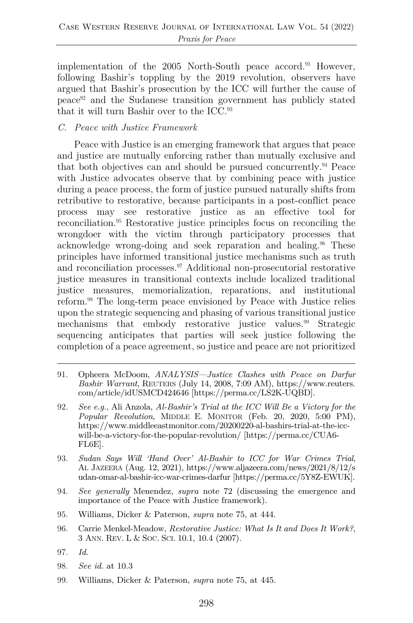implementation of the 2005 North-South peace accord.<sup>91</sup> However, following Bashir's toppling by the 2019 revolution, observers have argued that Bashir's prosecution by the ICC will further the cause of peace92 and the Sudanese transition government has publicly stated that it will turn Bashir over to the ICC.93

#### *C. Peace with Justice Framework*

Peace with Justice is an emerging framework that argues that peace and justice are mutually enforcing rather than mutually exclusive and that both objectives can and should be pursued concurrently.94 Peace with Justice advocates observe that by combining peace with justice during a peace process, the form of justice pursued naturally shifts from retributive to restorative, because participants in a post-conflict peace process may see restorative justice as an effective tool for reconciliation.95 Restorative justice principles focus on reconciling the wrongdoer with the victim through participatory processes that acknowledge wrong-doing and seek reparation and healing.96 These principles have informed transitional justice mechanisms such as truth and reconciliation processes.<sup>97</sup> Additional non-prosecutorial restorative justice measures in transitional contexts include localized traditional justice measures, memorialization, reparations, and institutional reform.98 The long-term peace envisioned by Peace with Justice relies upon the strategic sequencing and phasing of various transitional justice mechanisms that embody restorative justice values.<sup>99</sup> Strategic sequencing anticipates that parties will seek justice following the completion of a peace agreement, so justice and peace are not prioritized

- 91. Opheera McDoom, *ANALYSIS—Justice Clashes with Peace on Darfur Bashir Warrant*, REUTERS (July 14, 2008, 7:09 AM), https://www.reuters. com/article/idUSMCD424646 [https://perma.cc/LS2K-UQBD].
- 92. *See e.g.*, Ali Anzola, *Al-Bashir's Trial at the ICC Will Be a Victory for the Popular Revolution*, MIDDLE E. MONITOR (Feb. 20, 2020, 5:00 PM), https://www.middleeastmonitor.com/20200220-al-bashirs-trial-at-the-iccwill-be-a-victory-for-the-popular-revolution/ [https://perma.cc/CUA6- FL6E].
- 93. *Sudan Says Will 'Hand Over' Al-Bashir to ICC for War Crimes Trial*, AL JAZEERA (Aug. 12, 2021), https://www.aljazeera.com/news/2021/8/12/s udan-omar-al-bashir-icc-war-crimes-darfur [https://perma.cc/5Y8Z-EWUK].
- 94. *See generally* Menendez, *supra* note 72 (discussing the emergence and importance of the Peace with Justice framework).
- 95. Williams, Dicker & Paterson, *supra* note 75, at 444.
- 96. Carrie Menkel-Meadow, *Restorative Justice: What Is It and Does It Work?*, 3 ANN. REV. L & SOC. SCI. 10.1, 10.4 (2007).
- 97. *Id.*
- 98. *See id.* at 10.3
- 99. Williams, Dicker & Paterson, *supra* note 75, at 445.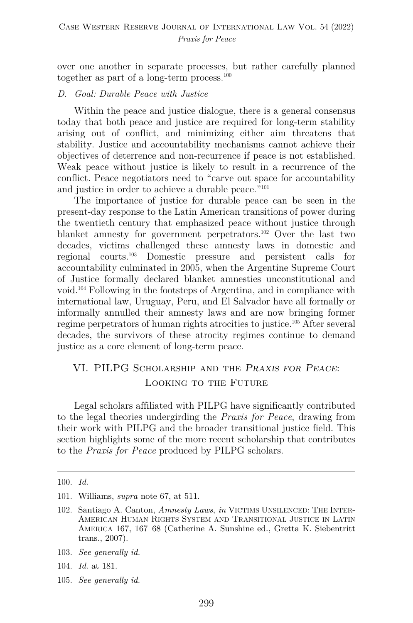over one another in separate processes, but rather carefully planned together as part of a long-term process. $100$ 

#### *D. Goal: Durable Peace with Justice*

Within the peace and justice dialogue, there is a general consensus today that both peace and justice are required for long-term stability arising out of conflict, and minimizing either aim threatens that stability. Justice and accountability mechanisms cannot achieve their objectives of deterrence and non-recurrence if peace is not established. Weak peace without justice is likely to result in a recurrence of the conflict. Peace negotiators need to "carve out space for accountability and justice in order to achieve a durable peace."101

The importance of justice for durable peace can be seen in the present-day response to the Latin American transitions of power during the twentieth century that emphasized peace without justice through blanket amnesty for government perpetrators.102 Over the last two decades, victims challenged these amnesty laws in domestic and regional courts.103 Domestic pressure and persistent calls for accountability culminated in 2005, when the Argentine Supreme Court of Justice formally declared blanket amnesties unconstitutional and void.104 Following in the footsteps of Argentina, and in compliance with international law, Uruguay, Peru, and El Salvador have all formally or informally annulled their amnesty laws and are now bringing former regime perpetrators of human rights atrocities to justice.105 After several decades, the survivors of these atrocity regimes continue to demand justice as a core element of long-term peace.

### VI. PILPG Scholarship and the *Praxis for Peace*: Looking to the Future

Legal scholars affiliated with PILPG have significantly contributed to the legal theories undergirding the *Praxis for Peace*, drawing from their work with PILPG and the broader transitional justice field. This section highlights some of the more recent scholarship that contributes to the *Praxis for Peace* produced by PILPG scholars.

- 104. *Id.* at 181.
- 105. *See generally id.*

<sup>100.</sup> *Id.*

<sup>101.</sup> Williams, *supra* note 67, at 511.

<sup>102.</sup> Santiago A. Canton, *Amnesty Laws*, *in* VICTIMS UNSILENCED: THE INTER-AMERICAN HUMAN RIGHTS SYSTEM AND TRANSITIONAL JUSTICE IN LATIN AMERICA 167, 167–68 (Catherine A. Sunshine ed., Gretta K. Siebentritt trans., 2007).

<sup>103.</sup> *See generally id.*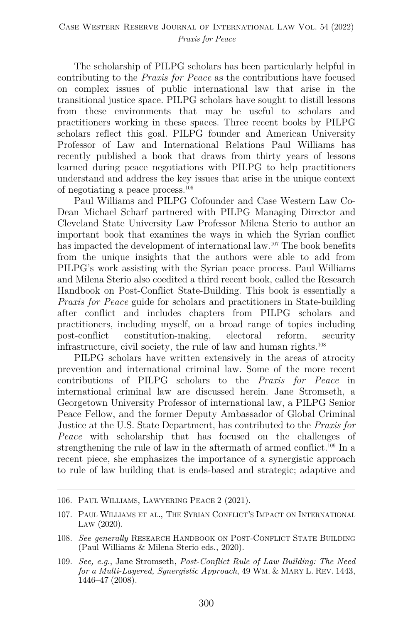The scholarship of PILPG scholars has been particularly helpful in contributing to the *Praxis for Peace* as the contributions have focused on complex issues of public international law that arise in the transitional justice space. PILPG scholars have sought to distill lessons from these environments that may be useful to scholars and practitioners working in these spaces. Three recent books by PILPG scholars reflect this goal. PILPG founder and American University Professor of Law and International Relations Paul Williams has recently published a book that draws from thirty years of lessons learned during peace negotiations with PILPG to help practitioners understand and address the key issues that arise in the unique context of negotiating a peace process.106

Paul Williams and PILPG Cofounder and Case Western Law Co-Dean Michael Scharf partnered with PILPG Managing Director and Cleveland State University Law Professor Milena Sterio to author an important book that examines the ways in which the Syrian conflict has impacted the development of international law.<sup>107</sup> The book benefits from the unique insights that the authors were able to add from PILPG's work assisting with the Syrian peace process. Paul Williams and Milena Sterio also coedited a third recent book, called the Research Handbook on Post-Conflict State-Building. This book is essentially a *Praxis for Peace* guide for scholars and practitioners in State-building after conflict and includes chapters from PILPG scholars and practitioners, including myself, on a broad range of topics including post-conflict constitution-making, electoral reform, security infrastructure, civil society, the rule of law and human rights.108

PILPG scholars have written extensively in the areas of atrocity prevention and international criminal law. Some of the more recent contributions of PILPG scholars to the *Praxis for Peace* in international criminal law are discussed herein. Jane Stromseth, a Georgetown University Professor of international law, a PILPG Senior Peace Fellow, and the former Deputy Ambassador of Global Criminal Justice at the U.S. State Department, has contributed to the *Praxis for Peace* with scholarship that has focused on the challenges of strengthening the rule of law in the aftermath of armed conflict.<sup>109</sup> In a recent piece, she emphasizes the importance of a synergistic approach to rule of law building that is ends-based and strategic; adaptive and

<sup>106.</sup> PAUL WILLIAMS, LAWYERING PEACE 2 (2021).

<sup>107.</sup> PAUL WILLIAMS ET AL., THE SYRIAN CONFLICT'S IMPACT ON INTERNATIONAL LAW (2020).

<sup>108.</sup> *See generally* RESEARCH HANDBOOK ON POST-CONFLICT STATE BUILDING (Paul Williams & Milena Sterio eds., 2020).

<sup>109.</sup> *See, e.g.*, Jane Stromseth, *Post-Conflict Rule of Law Building: The Need for a Multi-Layered, Synergistic Approach*, 49 WM. & MARY L. REV. 1443, 1446–47 (2008).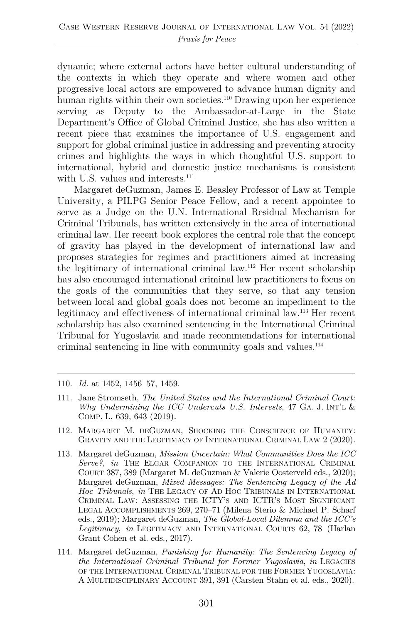dynamic; where external actors have better cultural understanding of the contexts in which they operate and where women and other progressive local actors are empowered to advance human dignity and human rights within their own societies.110 Drawing upon her experience serving as Deputy to the Ambassador-at-Large in the State Department's Office of Global Criminal Justice, she has also written a recent piece that examines the importance of U.S. engagement and support for global criminal justice in addressing and preventing atrocity crimes and highlights the ways in which thoughtful U.S. support to international, hybrid and domestic justice mechanisms is consistent with U.S. values and interests.<sup>111</sup>

Margaret deGuzman, James E. Beasley Professor of Law at Temple University, a PILPG Senior Peace Fellow, and a recent appointee to serve as a Judge on the U.N. International Residual Mechanism for Criminal Tribunals, has written extensively in the area of international criminal law. Her recent book explores the central role that the concept of gravity has played in the development of international law and proposes strategies for regimes and practitioners aimed at increasing the legitimacy of international criminal law.112 Her recent scholarship has also encouraged international criminal law practitioners to focus on the goals of the communities that they serve, so that any tension between local and global goals does not become an impediment to the legitimacy and effectiveness of international criminal law.113 Her recent scholarship has also examined sentencing in the International Criminal Tribunal for Yugoslavia and made recommendations for international criminal sentencing in line with community goals and values.114

- 110. *Id.* at 1452, 1456–57, 1459.
- 111. Jane Stromseth, *The United States and the International Criminal Court: Why Undermining the ICC Undercuts U.S. Interests*, 47 GA. J. INT'L & COMP. L. 639, 643 (2019).
- 112. MARGARET M. DEGUZMAN, SHOCKING THE CONSCIENCE OF HUMANITY: GRAVITY AND THE LEGITIMACY OF INTERNATIONAL CRIMINAL LAW 2 (2020).
- 113. Margaret deGuzman, *Mission Uncertain: What Communities Does the ICC Serve?*, *in* THE ELGAR COMPANION TO THE INTERNATIONAL CRIMINAL COURT 387, 389 (Margaret M. deGuzman & Valerie Oosterveld eds., 2020); Margaret deGuzman, *Mixed Messages: The Sentencing Legacy of the Ad Hoc Tribunals*, *in* THE LEGACY OF AD HOC TRIBUNALS IN INTERNATIONAL CRIMINAL LAW: ASSESSING THE ICTY'S AND ICTR'S MOST SIGNIFICANT LEGAL ACCOMPLISHMENTS 269, 270–71 (Milena Sterio & Michael P. Scharf eds., 2019); Margaret deGuzman, *The Global-Local Dilemma and the ICC's Legitimacy*, *in* LEGITIMACY AND INTERNATIONAL COURTS 62, 78 (Harlan Grant Cohen et al. eds., 2017).
- 114. Margaret deGuzman, *Punishing for Humanity: The Sentencing Legacy of the International Criminal Tribunal for Former Yugoslavia*, *in* LEGACIES OF THE INTERNATIONAL CRIMINAL TRIBUNAL FOR THE FORMER YUGOSLAVIA: A MULTIDISCIPLINARY ACCOUNT 391, 391 (Carsten Stahn et al. eds., 2020).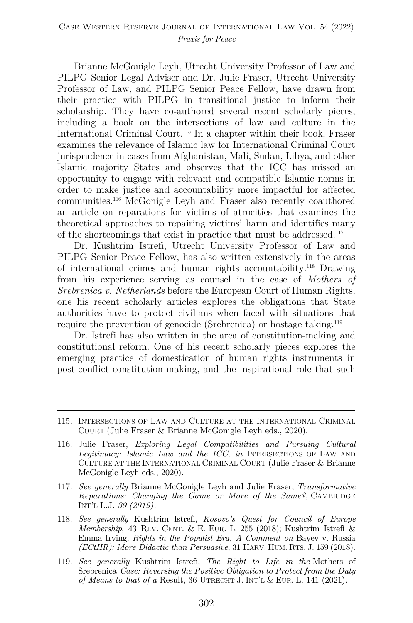Brianne McGonigle Leyh, Utrecht University Professor of Law and PILPG Senior Legal Adviser and Dr. Julie Fraser, Utrecht University Professor of Law, and PILPG Senior Peace Fellow, have drawn from their practice with PILPG in transitional justice to inform their scholarship. They have co-authored several recent scholarly pieces, including a book on the intersections of law and culture in the International Criminal Court.<sup>115</sup> In a chapter within their book, Fraser examines the relevance of Islamic law for International Criminal Court jurisprudence in cases from Afghanistan, Mali, Sudan, Libya, and other Islamic majority States and observes that the ICC has missed an opportunity to engage with relevant and compatible Islamic norms in order to make justice and accountability more impactful for affected communities.116 McGonigle Leyh and Fraser also recently coauthored an article on reparations for victims of atrocities that examines the theoretical approaches to repairing victims' harm and identifies many of the shortcomings that exist in practice that must be addressed.117

Dr. Kushtrim Istrefi, Utrecht University Professor of Law and PILPG Senior Peace Fellow, has also written extensively in the areas of international crimes and human rights accountability.118 Drawing from his experience serving as counsel in the case of *Mothers of Srebrenica v. Netherlands* before the European Court of Human Rights, one his recent scholarly articles explores the obligations that State authorities have to protect civilians when faced with situations that require the prevention of genocide (Srebrenica) or hostage taking.<sup>119</sup>

Dr. Istrefi has also written in the area of constitution-making and constitutional reform. One of his recent scholarly pieces explores the emerging practice of domestication of human rights instruments in post-conflict constitution-making, and the inspirational role that such

- 117. *See generally* Brianne McGonigle Leyh and Julie Fraser, *Transformative Reparations: Changing the Game or More of the Same?*, CAMBRIDGE INT'L L.J. *39 (2019).*
- 118. *See generally* Kushtrim Istrefi, *Kosovo's Quest for Council of Europe Membership*, 43 REV. CENT. & E. EUR. L. 255 (2018); Kushtrim Istrefi & Emma Irving, *Rights in the Populist Era, A Comment on* Bayev v. Russia *(ECtHR): More Didactic than Persuasive*, 31 HARV. HUM. RTS. J. 159 (2018).
- 119. *See generally* Kushtrim Istrefi, *The Right to Life in the* Mothers of Srebrenica *Case: Reversing the Positive Obligation to Protect from the Duty of Means to that of a* Result, 36 UTRECHT J. INT'L & EUR. L. 141 (2021).

<sup>115</sup>*.* INTERSECTIONS OF LAW AND CULTURE AT THE INTERNATIONAL CRIMINAL COURT (Julie Fraser & Brianne McGonigle Leyh eds., 2020).

<sup>116.</sup> Julie Fraser, *Exploring Legal Compatibilities and Pursuing Cultural Legitimacy: Islamic Law and the ICC*, *in* INTERSECTIONS OF LAW AND CULTURE AT THE INTERNATIONAL CRIMINAL COURT (Julie Fraser & Brianne McGonigle Leyh eds., 2020).